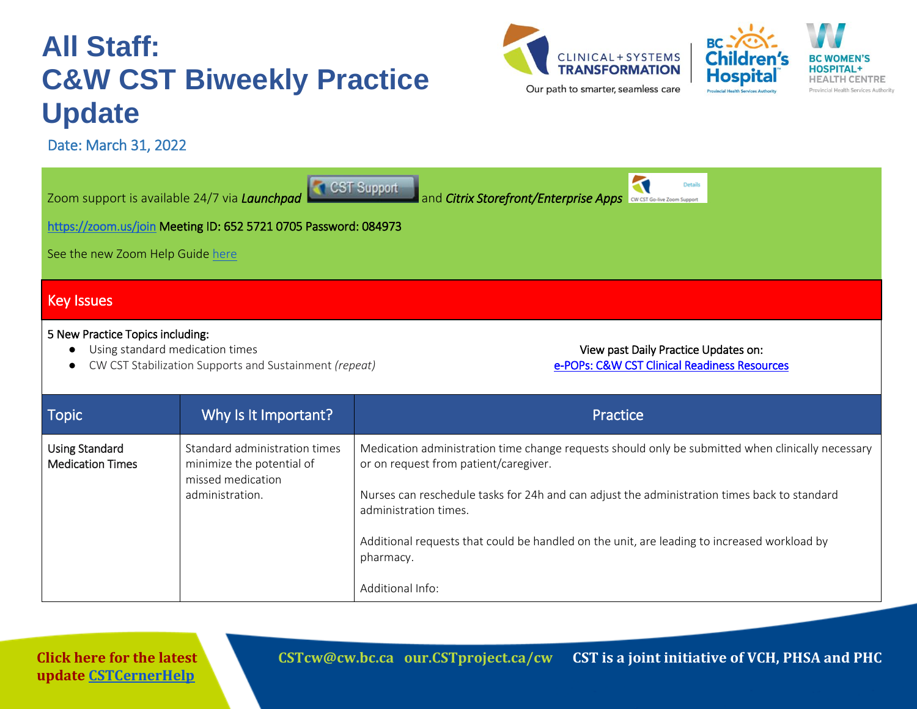# **All Staff: C&W CST Biweekly Practice Update**

Date: March 31, 2022



 $\overline{\phantom{a}}$ 



| See the new Zoom Help Guide here<br><b>Key Issues</b>                                                                                                                                                                 | <b>CSI</b> Support<br>Zoom support is available 24/7 via Launchpad<br>https://zoom.us/join Meeting ID: 652 5721 0705 Password: 084973 | and Citrix Storefront/Enterprise Apps west Go-live Zoom Support                                                                                                                                                                                                                                                                                                                                     |
|-----------------------------------------------------------------------------------------------------------------------------------------------------------------------------------------------------------------------|---------------------------------------------------------------------------------------------------------------------------------------|-----------------------------------------------------------------------------------------------------------------------------------------------------------------------------------------------------------------------------------------------------------------------------------------------------------------------------------------------------------------------------------------------------|
| 5 New Practice Topics including:<br>Using standard medication times<br>View past Daily Practice Updates on:<br>CW CST Stabilization Supports and Sustainment (repeat)<br>e-POPs: C&W CST Clinical Readiness Resources |                                                                                                                                       |                                                                                                                                                                                                                                                                                                                                                                                                     |
| <b>Topic</b>                                                                                                                                                                                                          | Why Is It Important?                                                                                                                  | Practice                                                                                                                                                                                                                                                                                                                                                                                            |
| <b>Using Standard</b><br><b>Medication Times</b>                                                                                                                                                                      | Standard administration times<br>minimize the potential of<br>missed medication<br>administration.                                    | Medication administration time change requests should only be submitted when clinically necessary<br>or on request from patient/caregiver.<br>Nurses can reschedule tasks for 24h and can adjust the administration times back to standard<br>administration times.<br>Additional requests that could be handled on the unit, are leading to increased workload by<br>pharmacy.<br>Additional Info: |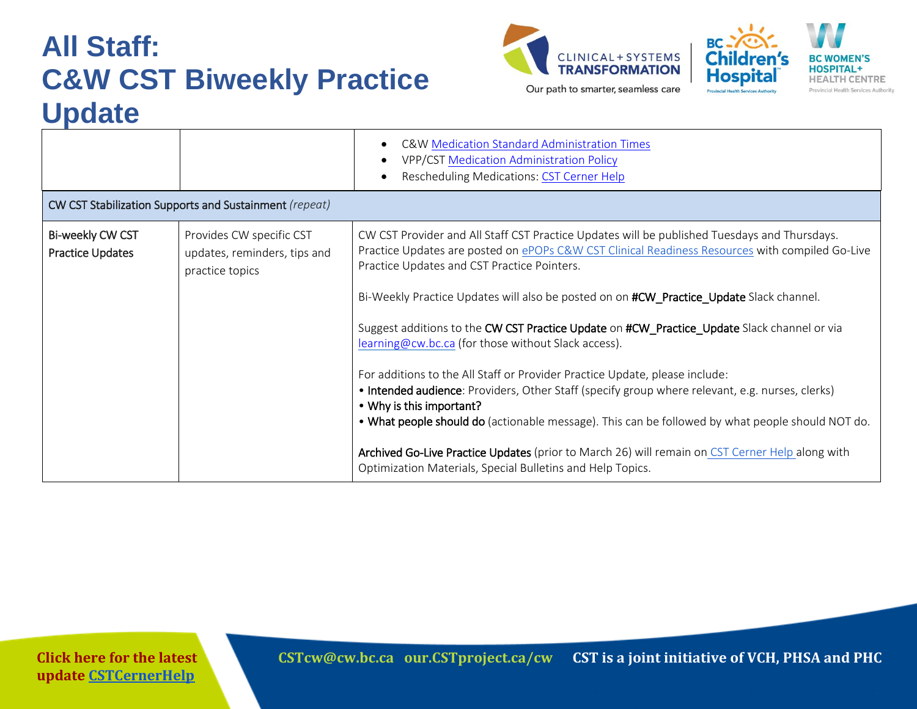# **All Staff: C&W CST Biweekly Practice Update**





|                                             |                                                                             | C&W Medication Standard Administration Times<br>VPP/CST Medication Administration Policy<br><b>Rescheduling Medications: CST Cerner Help</b>                                                                                                                                                                                                                                                                                                                                                                                                                                                                                                                                                                                                                                                                                                                                                                                                                                       |  |  |  |  |  |
|---------------------------------------------|-----------------------------------------------------------------------------|------------------------------------------------------------------------------------------------------------------------------------------------------------------------------------------------------------------------------------------------------------------------------------------------------------------------------------------------------------------------------------------------------------------------------------------------------------------------------------------------------------------------------------------------------------------------------------------------------------------------------------------------------------------------------------------------------------------------------------------------------------------------------------------------------------------------------------------------------------------------------------------------------------------------------------------------------------------------------------|--|--|--|--|--|
|                                             | CW CST Stabilization Supports and Sustainment (repeat)                      |                                                                                                                                                                                                                                                                                                                                                                                                                                                                                                                                                                                                                                                                                                                                                                                                                                                                                                                                                                                    |  |  |  |  |  |
| Bi-weekly CW CST<br><b>Practice Updates</b> | Provides CW specific CST<br>updates, reminders, tips and<br>practice topics | CW CST Provider and All Staff CST Practice Updates will be published Tuesdays and Thursdays.<br>Practice Updates are posted on ePOPs C&W CST Clinical Readiness Resources with compiled Go-Live<br>Practice Updates and CST Practice Pointers.<br>Bi-Weekly Practice Updates will also be posted on on #CW Practice Update Slack channel.<br>Suggest additions to the CW CST Practice Update on #CW_Practice_Update Slack channel or via<br>learning@cw.bc.ca (for those without Slack access).<br>For additions to the All Staff or Provider Practice Update, please include:<br>• Intended audience: Providers, Other Staff (specify group where relevant, e.g. nurses, clerks)<br>• Why is this important?<br>. What people should do (actionable message). This can be followed by what people should NOT do.<br>Archived Go-Live Practice Updates (prior to March 26) will remain on CST Cerner Help along with<br>Optimization Materials, Special Bulletins and Help Topics. |  |  |  |  |  |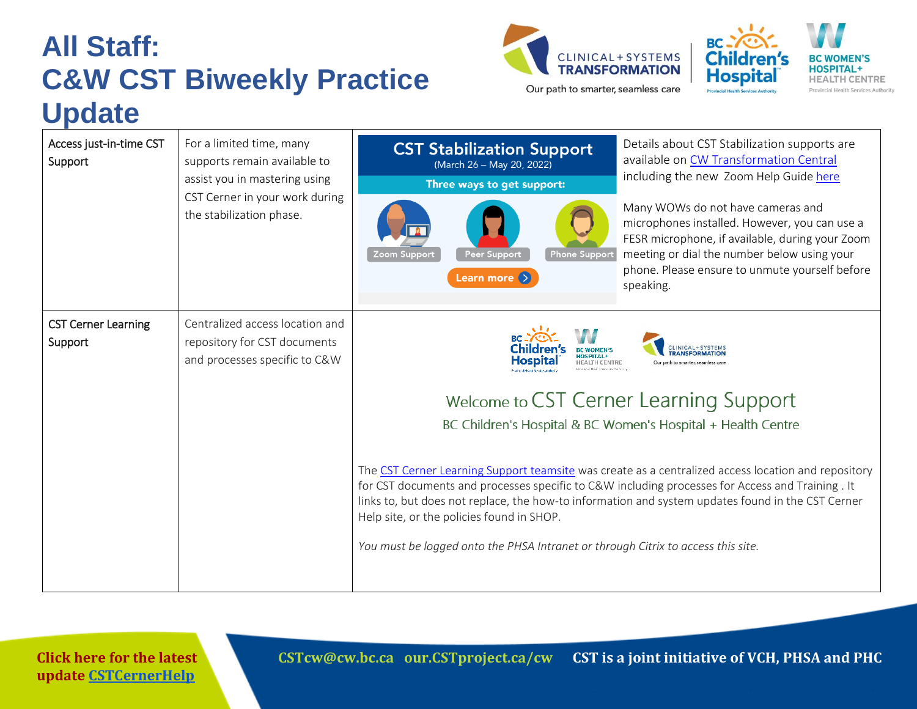### **All Staff: C&W CST Biweekly Practice Update**





Our path to smarter, seamless care

| Access just-in-time CST<br>Support    | For a limited time, many<br>supports remain available to<br>assist you in mastering using<br>CST Cerner in your work during<br>the stabilization phase. | <b>CST Stabilization Support</b><br>(March 26 - May 20, 2022)<br>Three ways to get support:<br><b>Phone Support</b><br>Zoom Support<br><b>Peer Support</b><br>Learn more (>                                                                                                                                                                                                                                                                             | Details about CST Stabilization supports are<br>available on CW Transformation Central<br>including the new Zoom Help Guide here<br>Many WOWs do not have cameras and<br>microphones installed. However, you can use a<br>FESR microphone, if available, during your Zoom<br>meeting or dial the number below using your<br>phone. Please ensure to unmute yourself before<br>speaking. |
|---------------------------------------|---------------------------------------------------------------------------------------------------------------------------------------------------------|---------------------------------------------------------------------------------------------------------------------------------------------------------------------------------------------------------------------------------------------------------------------------------------------------------------------------------------------------------------------------------------------------------------------------------------------------------|-----------------------------------------------------------------------------------------------------------------------------------------------------------------------------------------------------------------------------------------------------------------------------------------------------------------------------------------------------------------------------------------|
| <b>CST Cerner Learning</b><br>Support | Centralized access location and<br>repository for CST documents<br>and processes specific to C&W                                                        | Hospita<br>The CST Cerner Learning Support teamsite was create as a centralized access location and repository<br>for CST documents and processes specific to C&W including processes for Access and Training. It<br>links to, but does not replace, the how-to information and system updates found in the CST Cerner<br>Help site, or the policies found in SHOP.<br>You must be logged onto the PHSA Intranet or through Citrix to access this site. | Our path to smarter seamless care<br>Welcome to CST Cerner Learning Support<br>BC Children's Hospital & BC Women's Hospital + Health Centre                                                                                                                                                                                                                                             |

**Click here for the latest update [CSTCernerHelp](http://cstcernerhelp.healthcarebc.ca/#t=Whats_New%2FWhat_s_New.htm&rhsearch=favourites%20printer&rhsyns=%20)**